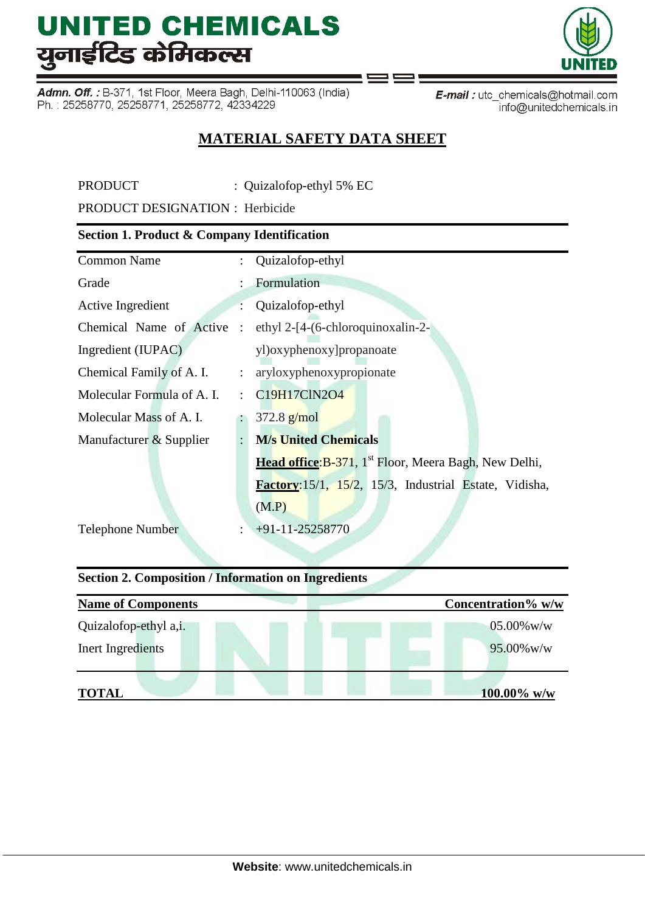Admn. Off.: B-371, 1st Floor, Meera Bagh, Delhi-110063 (India) Ph.: 25258770, 25258771, 25258772, 42334229

E-mail: utc\_chemicals@hotmail.com info@unitedchemicals.in

### **MATERIAL SAFETY DATA SHEET**

PRODUCT : Quizalofop-ethyl 5% EC

PRODUCT DESIGNATION : Herbicide

### **Section 1. Product & Company Identification**

| <b>Common Name</b>         |                           | : Quizalofop-ethyl                                                |
|----------------------------|---------------------------|-------------------------------------------------------------------|
| Grade                      |                           | Formulation                                                       |
| Active Ingredient          |                           | Quizalofop-ethyl                                                  |
| Chemical Name of Active    | $\ddot{\cdot}$            | ethyl 2-[4-(6-chloroquinoxalin-2-                                 |
| Ingredient (IUPAC)         |                           | yl)oxyphenoxy]propanoate                                          |
| Chemical Family of A. I.   | $\mathbb{Z}^{\mathbb{Z}}$ | aryloxyphenoxypropionate                                          |
| Molecular Formula of A. I. | ÷                         | C19H17ClN2O4                                                      |
| Molecular Mass of A. I.    |                           | $372.8$ g/mol                                                     |
| Manufacturer & Supplier    |                           | <b>M/s United Chemicals</b>                                       |
|                            |                           | Head office: B-371, 1 <sup>st</sup> Floor, Meera Bagh, New Delhi, |
|                            |                           | Factory: 15/1, 15/2, 15/3, Industrial Estate, Vidisha,            |
|                            |                           | (M.P)                                                             |
| <b>Telephone Number</b>    | $\ddot{\cdot}$            | $+91-11-25258770$                                                 |

### **Section 2. Composition / Information on Ingredients**

| <b>Name of Components</b> | Concentration% w/w |
|---------------------------|--------------------|
| Quizalofop-ethyl a,i.     | $05.00\%$ w/w      |
| Inert Ingredients         | $95.00\%$ w/w      |
| <b>TOTAL</b>              | $100.00\%$ w/w     |

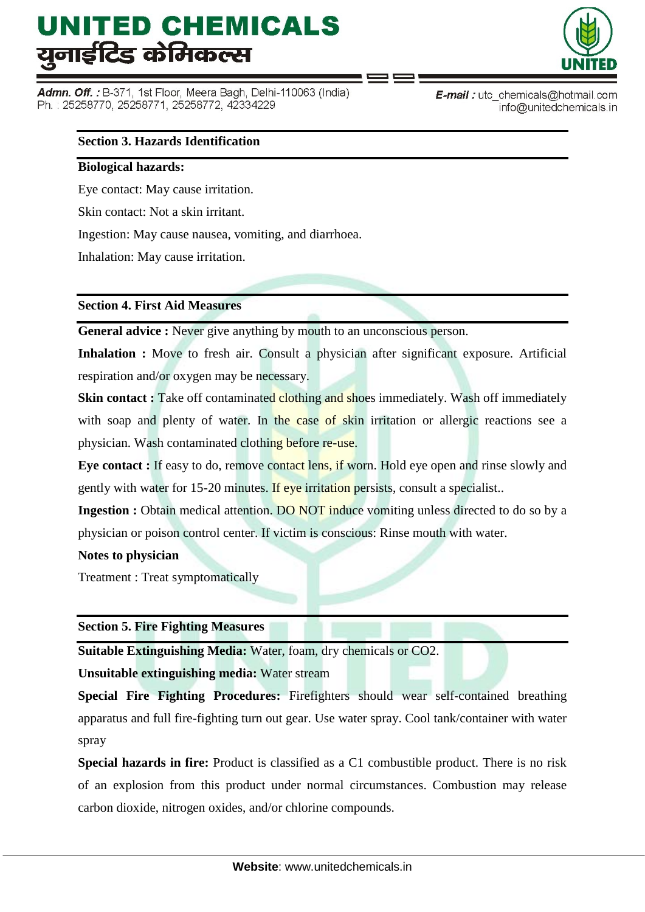Admn. Off. : B-371, 1st Floor, Meera Bagh, Delhi-110063 (India) Ph.: 25258770, 25258771, 25258772, 42334229



E-mail: utc\_chemicals@hotmail.com info@unitedchemicals.in

#### **Section 3. Hazards Identification**

#### **Biological hazards:**

Eye contact: May cause irritation.

Skin contact: Not a skin irritant.

Ingestion: May cause nausea, vomiting, and diarrhoea.

Inhalation: May cause irritation.

#### **Section 4. First Aid Measures**

**General advice :** Never give anything by mouth to an unconscious person.

**Inhalation :** Move to fresh air. Consult a physician after significant exposure. Artificial respiration and/or oxygen may be necessary.

**Skin contact :** Take off contaminated clothing and shoes immediately. Wash off immediately with soap and plenty of water. In the case of skin irritation or allergic reactions see a physician. Wash contaminated clothing before re-use.

**Eye contact :** If easy to do, remove contact lens, if worn. Hold eye open and rinse slowly and gently with water for 15-20 minutes. If eye irritation persists, consult a specialist..

**Ingestion :** Obtain medical attention. DO NOT induce vomiting unless directed to do so by a physician or poison control center. If victim is conscious: Rinse mouth with water.

**Notes to physician**

Treatment : Treat symptomatically

**Section 5. Fire Fighting Measures**

**Suitable Extinguishing Media:** Water, foam, dry chemicals or CO2.

**Unsuitable extinguishing media:** Water stream

**Special Fire Fighting Procedures:** Firefighters should wear self-contained breathing apparatus and full fire-fighting turn out gear. Use water spray. Cool tank/container with water spray

**Special hazards in fire:** Product is classified as a C1 combustible product. There is no risk of an explosion from this product under normal circumstances. Combustion may release carbon dioxide, nitrogen oxides, and/or chlorine compounds.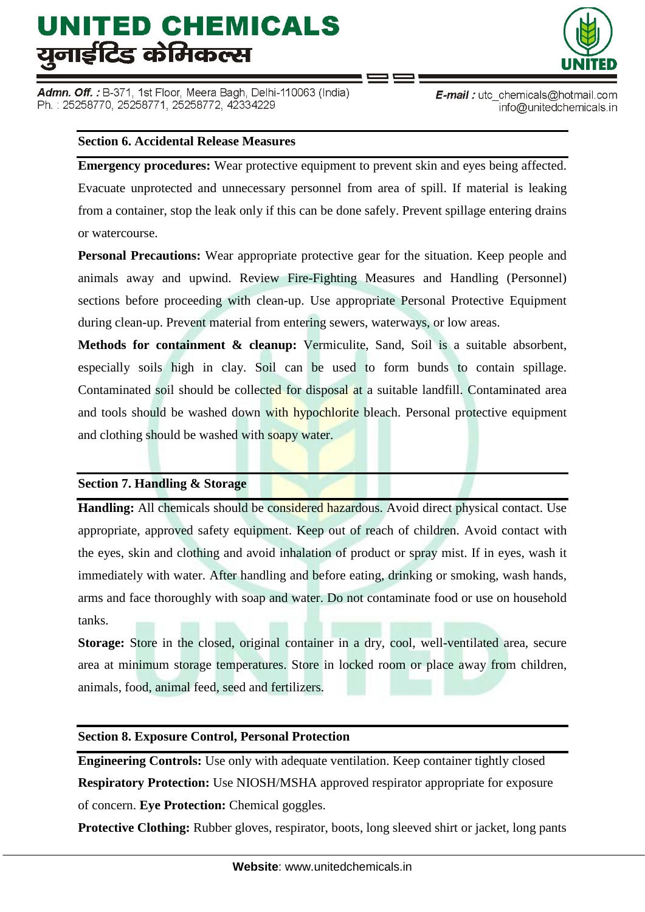Admn. Off. : B-371, 1st Floor, Meera Bagh, Delhi-110063 (India) Ph.: 25258770, 25258771, 25258772, 42334229



E-mail: utc\_chemicals@hotmail.com info@unitedchemicals.in

#### **Section 6. Accidental Release Measures**

**Emergency procedures:** Wear protective equipment to prevent skin and eyes being affected. Evacuate unprotected and unnecessary personnel from area of spill. If material is leaking from a container, stop the leak only if this can be done safely. Prevent spillage entering drains or watercourse.

**Personal Precautions:** Wear appropriate protective gear for the situation. Keep people and animals away and upwind. Review Fire-Fighting Measures and Handling (Personnel) sections before proceeding with clean-up. Use appropriate Personal Protective Equipment during clean-up. Prevent material from entering sewers, waterways, or low areas.

**Methods for containment & cleanup:** Vermiculite, Sand, Soil is a suitable absorbent, especially soils high in clay. Soil can be used to form bunds to contain spillage. Contaminated soil should be collected for disposal at a suitable landfill. Contaminated area and tools should be washed down with hypochlorite bleach. Personal protective equipment and clothing should be washed with soapy water.

#### **Section 7. Handling & Storage**

**Handling:** All chemicals should be considered hazardous. Avoid direct physical contact. Use appropriate, approved safety equipment. Keep out of reach of children. Avoid contact with the eyes, skin and clothing and avoid inhalation of product or spray mist. If in eyes, wash it immediately with water. After handling and before eating, drinking or smoking, wash hands, arms and face thoroughly with soap and water. Do not contaminate food or use on household tanks.

**Storage:** Store in the closed, original container in a dry, cool, well-ventilated area, secure area at minimum storage temperatures. Store in locked room or place away from children, animals, food, animal feed, seed and fertilizers.

#### **Section 8. Exposure Control, Personal Protection**

**Engineering Controls:** Use only with adequate ventilation. Keep container tightly closed **Respiratory Protection:** Use NIOSH/MSHA approved respirator appropriate for exposure of concern. **Eye Protection:** Chemical goggles.

**Protective Clothing:** Rubber gloves, respirator, boots, long sleeved shirt or jacket, long pants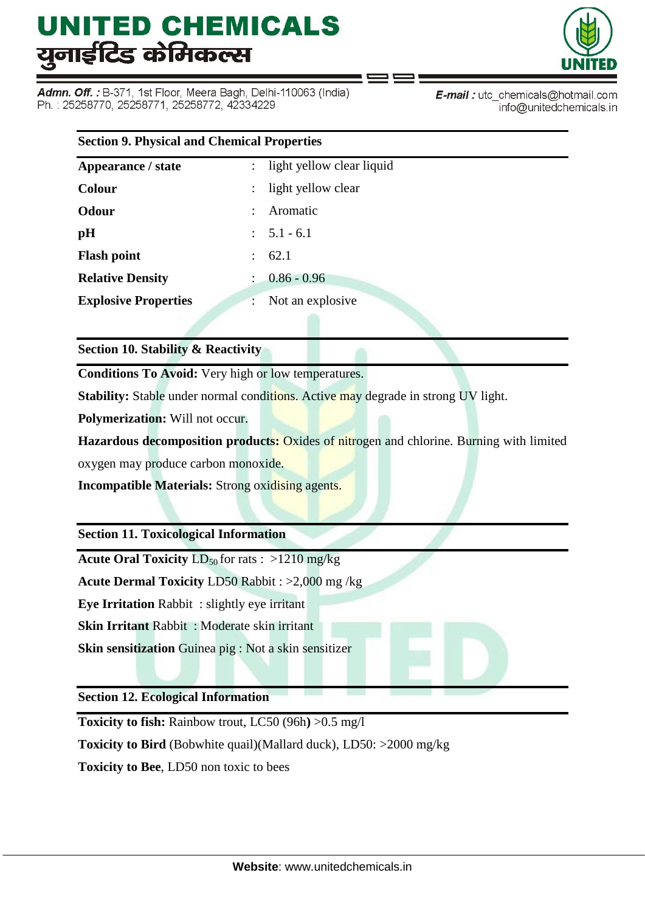Admn. Off. : B-371, 1st Floor, Meera Bagh, Delhi-110063 (India) Ph.: 25258770, 25258771, 25258772, 42334229



E-mail: utc\_chemicals@hotmail.com info@unitedchemicals.in

| <b>Section 9. Physical and Chemical Properties</b> |                                                   |  |
|----------------------------------------------------|---------------------------------------------------|--|
| Appearance / state                                 | light yellow clear liquid<br>$\ddot{\phantom{a}}$ |  |
| <b>Colour</b>                                      | light yellow clear                                |  |
| <b>Odour</b>                                       | Aromatic                                          |  |
| pH                                                 | $: 5.1 - 6.1$                                     |  |
| <b>Flash point</b>                                 | 62.1<br>$\mathbb{R}^{\mathbb{Z}}$                 |  |
| <b>Relative Density</b>                            | $0.86 - 0.96$                                     |  |
| <b>Explosive Properties</b>                        | Not an explosive<br>÷                             |  |
|                                                    |                                                   |  |

**Section 10. Stability & Reactivity**

**Conditions To Avoid:** Very high or low temperatures.

**Stability:** Stable under normal conditions. Active may degrade in strong UV light.

**Polymerization:** Will not occur.

**Hazardous decomposition products:** Oxides of nitrogen and chlorine. Burning with limited oxygen may produce carbon monoxide.

**Incompatible Materials:** Strong oxidising agents.

**Section 11. Toxicological Information**

**Acute Oral Toxicity**  $LD_{50}$  for rats :  $>1210$  mg/kg

**Acute Dermal Toxicity** LD50 Rabbit : >2,000 mg /kg

**Eye Irritation** Rabbit : slightly eye irritant

**Skin Irritant** Rabbit : Moderate skin irritant

**Skin sensitization** Guinea pig : Not a skin sensitizer

**Section 12. Ecological Information**

**Toxicity to fish:** Rainbow trout, LC50 (96h**)** >0.5 mg/l

**Toxicity to Bird** (Bobwhite quail)(Mallard duck), LD50: >2000 mg/kg

**Toxicity to Bee**, LD50 non toxic to bees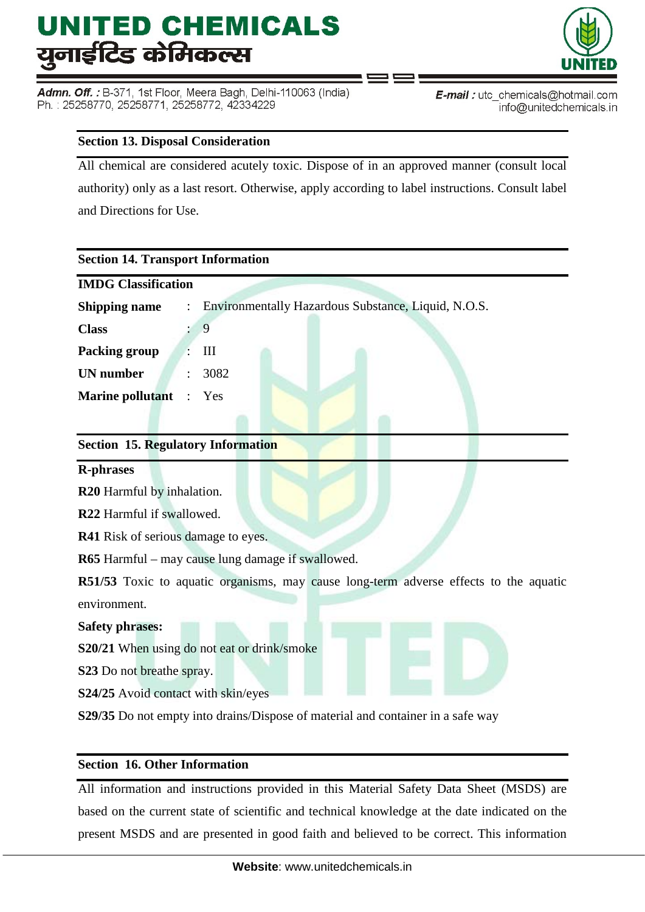Admn. Off.: B-371, 1st Floor, Meera Bagh, Delhi-110063 (India) Ph.: 25258770, 25258771, 25258772, 42334229



#### **Section 13. Disposal Consideration**

All chemical are considered acutely toxic. Dispose of in an approved manner (consult local authority) only as a last resort. Otherwise, apply according to label instructions. Consult label and Directions for Use.

∍ ⊏

| <b>Section 14. Transport Information</b>                                                      |
|-----------------------------------------------------------------------------------------------|
| <b>IMDG Classification</b>                                                                    |
| Environmentally Hazardous Substance, Liquid, N.O.S.<br><b>Shipping name</b><br>$\ddot{\cdot}$ |
| 9<br><b>Class</b>                                                                             |
| III<br><b>Packing group</b>                                                                   |
| <b>UN</b> number<br>3082                                                                      |
| <b>Marine pollutant</b> :<br>Yes                                                              |
|                                                                                               |
| <b>Section 15. Regulatory Information</b>                                                     |
| <b>R-phrases</b>                                                                              |
| R <sub>20</sub> Harmful by inhalation.                                                        |
| R22 Harmful if swallowed.                                                                     |
| <b>R41</b> Risk of serious damage to eyes.                                                    |
| R65 Harmful - may cause lung damage if swallowed.                                             |
| R51/53 Toxic to aquatic organisms, may cause long-term adverse effects to the aquatic         |
| environment.                                                                                  |
| <b>Safety phrases:</b>                                                                        |
| S20/21 When using do not eat or drink/smoke                                                   |
| S23 Do not breathe spray.                                                                     |
| S24/25 Avoid contact with skin/eyes                                                           |
| S29/35 Do not empty into drains/Dispose of material and container in a safe way               |
|                                                                                               |

#### **Section 16. Other Information**

All information and instructions provided in this Material Safety Data Sheet (MSDS) are based on the current state of scientific and technical knowledge at the date indicated on the present MSDS and are presented in good faith and believed to be correct. This information